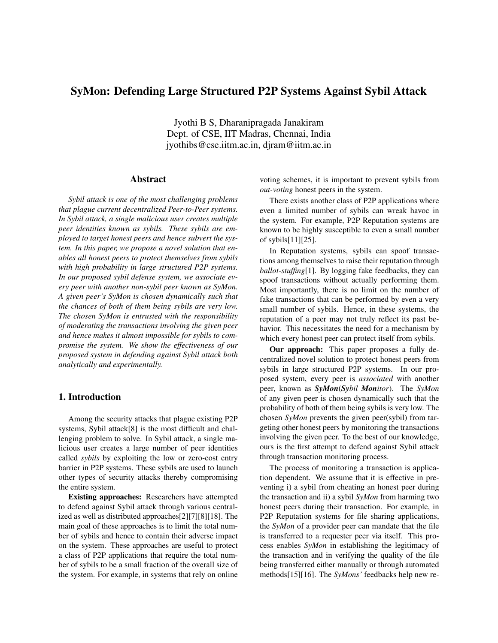# SyMon: Defending Large Structured P2P Systems Against Sybil Attack

Jyothi B S, Dharanipragada Janakiram Dept. of CSE, IIT Madras, Chennai, India jyothibs@cse.iitm.ac.in, djram@iitm.ac.in

### Abstract

*Sybil attack is one of the most challenging problems that plague current decentralized Peer-to-Peer systems. In Sybil attack, a single malicious user creates multiple peer identities known as sybils. These sybils are employed to target honest peers and hence subvert the system. In this paper, we propose a novel solution that enables all honest peers to protect themselves from sybils with high probability in large structured P2P systems. In our proposed sybil defense system, we associate every peer with another non-sybil peer known as SyMon. A given peer's SyMon is chosen dynamically such that the chances of both of them being sybils are very low. The chosen SyMon is entrusted with the responsibility of moderating the transactions involving the given peer and hence makes it almost impossible for sybils to compromise the system. We show the effectiveness of our proposed system in defending against Sybil attack both analytically and experimentally.*

# 1. Introduction

Among the security attacks that plague existing P2P systems, Sybil attack[8] is the most difficult and challenging problem to solve. In Sybil attack, a single malicious user creates a large number of peer identities called *sybils* by exploiting the low or zero-cost entry barrier in P2P systems. These sybils are used to launch other types of security attacks thereby compromising the entire system.

Existing approaches: Researchers have attempted to defend against Sybil attack through various centralized as well as distributed approaches[2][7][8][18]. The main goal of these approaches is to limit the total number of sybils and hence to contain their adverse impact on the system. These approaches are useful to protect a class of P2P applications that require the total number of sybils to be a small fraction of the overall size of the system. For example, in systems that rely on online

voting schemes, it is important to prevent sybils from *out-voting* honest peers in the system.

There exists another class of P2P applications where even a limited number of sybils can wreak havoc in the system. For example, P2P Reputation systems are known to be highly susceptible to even a small number of sybils[11][25].

In Reputation systems, sybils can spoof transactions among themselves to raise their reputation through *ballot-stuffing*[1]. By logging fake feedbacks, they can spoof transactions without actually performing them. Most importantly, there is no limit on the number of fake transactions that can be performed by even a very small number of sybils. Hence, in these systems, the reputation of a peer may not truly reflect its past behavior. This necessitates the need for a mechanism by which every honest peer can protect itself from sybils.

Our approach: This paper proposes a fully decentralized novel solution to protect honest peers from sybils in large structured P2P systems. In our proposed system, every peer is *associated* with another peer, known as *SyMon*(*Sybil Monitor*). The *SyMon* of any given peer is chosen dynamically such that the probability of both of them being sybils is very low. The chosen *SyMon* prevents the given peer(sybil) from targeting other honest peers by monitoring the transactions involving the given peer. To the best of our knowledge, ours is the first attempt to defend against Sybil attack through transaction monitoring process.

The process of monitoring a transaction is application dependent. We assume that it is effective in preventing i) a sybil from cheating an honest peer during the transaction and ii) a sybil *SyMon* from harming two honest peers during their transaction. For example, in P2P Reputation systems for file sharing applications, the *SyMon* of a provider peer can mandate that the file is transferred to a requester peer via itself. This process enables *SyMon* in establishing the legitimacy of the transaction and in verifying the quality of the file being transferred either manually or through automated methods[15][16]. The *SyMons'* feedbacks help new re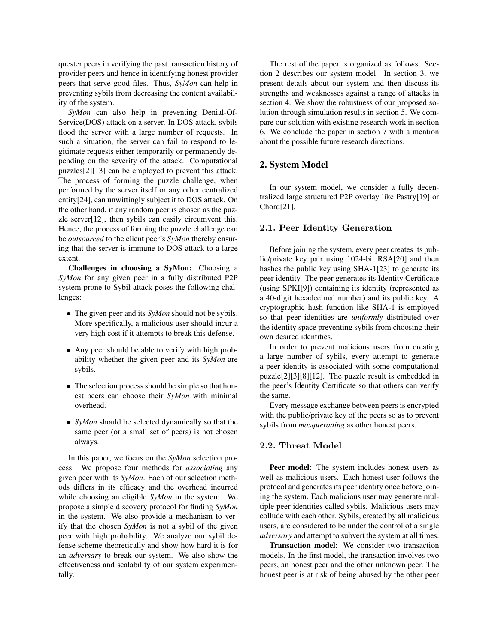quester peers in verifying the past transaction history of provider peers and hence in identifying honest provider peers that serve good files. Thus, *SyMon* can help in preventing sybils from decreasing the content availability of the system.

*SyMon* can also help in preventing Denial-Of-Service(DOS) attack on a server. In DOS attack, sybils flood the server with a large number of requests. In such a situation, the server can fail to respond to legitimate requests either temporarily or permanently depending on the severity of the attack. Computational puzzles[2][13] can be employed to prevent this attack. The process of forming the puzzle challenge, when performed by the server itself or any other centralized entity[24], can unwittingly subject it to DOS attack. On the other hand, if any random peer is chosen as the puzzle server[12], then sybils can easily circumvent this. Hence, the process of forming the puzzle challenge can be *outsourced* to the client peer's *SyMon* thereby ensuring that the server is immune to DOS attack to a large extent.

Challenges in choosing a SyMon: Choosing a *SyMon* for any given peer in a fully distributed P2P system prone to Sybil attack poses the following challenges:

- The given peer and its *SyMon* should not be sybils. More specifically, a malicious user should incur a very high cost if it attempts to break this defense.
- Any peer should be able to verify with high probability whether the given peer and its *SyMon* are sybils.
- The selection process should be simple so that honest peers can choose their *SyMon* with minimal overhead.
- *SyMon* should be selected dynamically so that the same peer (or a small set of peers) is not chosen always.

In this paper, we focus on the *SyMon* selection process. We propose four methods for *associating* any given peer with its *SyMon*. Each of our selection methods differs in its efficacy and the overhead incurred while choosing an eligible *SyMon* in the system. We propose a simple discovery protocol for finding *SyMon* in the system. We also provide a mechanism to verify that the chosen *SyMon* is not a sybil of the given peer with high probability. We analyze our sybil defense scheme theoretically and show how hard it is for an *adversary* to break our system. We also show the effectiveness and scalability of our system experimentally.

The rest of the paper is organized as follows. Section 2 describes our system model. In section 3, we present details about our system and then discuss its strengths and weaknesses against a range of attacks in section 4. We show the robustness of our proposed solution through simulation results in section 5. We compare our solution with existing research work in section 6. We conclude the paper in section 7 with a mention about the possible future research directions.

### 2. System Model

In our system model, we consider a fully decentralized large structured P2P overlay like Pastry[19] or Chord[21].

### 2.1. Peer Identity Generation

Before joining the system, every peer creates its public/private key pair using 1024-bit RSA[20] and then hashes the public key using SHA-1[23] to generate its peer identity. The peer generates its Identity Certificate (using SPKI[9]) containing its identity (represented as a 40-digit hexadecimal number) and its public key. A cryptographic hash function like SHA-1 is employed so that peer identities are *uniformly* distributed over the identity space preventing sybils from choosing their own desired identities.

In order to prevent malicious users from creating a large number of sybils, every attempt to generate a peer identity is associated with some computational puzzle[2][3][8][12]. The puzzle result is embedded in the peer's Identity Certificate so that others can verify the same.

Every message exchange between peers is encrypted with the public/private key of the peers so as to prevent sybils from *masquerading* as other honest peers.

### 2.2. Threat Model

Peer model: The system includes honest users as well as malicious users. Each honest user follows the protocol and generates its peer identity once before joining the system. Each malicious user may generate multiple peer identities called sybils. Malicious users may collude with each other. Sybils, created by all malicious users, are considered to be under the control of a single *adversary* and attempt to subvert the system at all times.

Transaction model: We consider two transaction models. In the first model, the transaction involves two peers, an honest peer and the other unknown peer. The honest peer is at risk of being abused by the other peer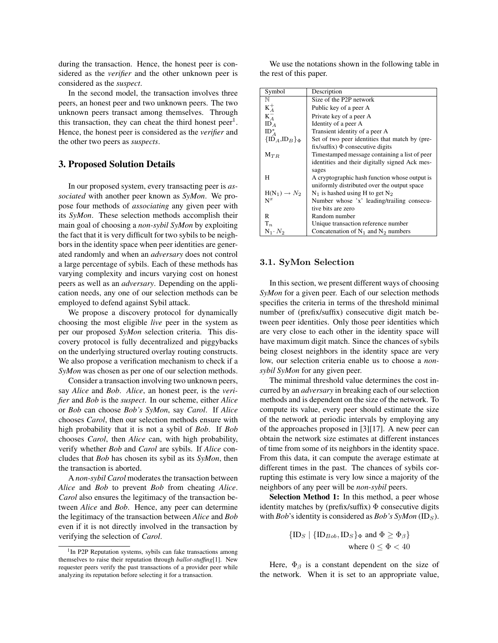during the transaction. Hence, the honest peer is considered as the *verifier* and the other unknown peer is considered as the *suspect*.

In the second model, the transaction involves three peers, an honest peer and two unknown peers. The two unknown peers transact among themselves. Through this transaction, they can cheat the third honest peer<sup>1</sup>. Hence, the honest peer is considered as the *verifier* and the other two peers as *suspects*.

### 3. Proposed Solution Details

In our proposed system, every transacting peer is *associated* with another peer known as *SyMon*. We propose four methods of *associating* any given peer with its *SyMon*. These selection methods accomplish their main goal of choosing a *non-sybil SyMon* by exploiting the fact that it is very difficult for two sybils to be neighbors in the identity space when peer identities are generated randomly and when an *adversary* does not control a large percentage of sybils. Each of these methods has varying complexity and incurs varying cost on honest peers as well as an *adversary*. Depending on the application needs, any one of our selection methods can be employed to defend against Sybil attack.

We propose a discovery protocol for dynamically choosing the most eligible *live* peer in the system as per our proposed *SyMon* selection criteria. This discovery protocol is fully decentralized and piggybacks on the underlying structured overlay routing constructs. We also propose a verification mechanism to check if a *SyMon* was chosen as per one of our selection methods.

Consider a transaction involving two unknown peers, say *Alice* and *Bob*. *Alice*, an honest peer, is the *verifier* and *Bob* is the *suspect*. In our scheme, either *Alice* or *Bob* can choose *Bob's SyMon*, say *Carol*. If *Alice* chooses *Carol*, then our selection methods ensure with high probability that it is not a sybil of *Bob*. If *Bob* chooses *Carol*, then *Alice* can, with high probability, verify whether *Bob* and *Carol* are sybils. If *Alice* concludes that *Bob* has chosen its sybil as its *SyMon*, then the transaction is aborted.

A *non-sybil Carol* moderates the transaction between *Alice* and *Bob* to prevent *Bob* from cheating *Alice*. *Carol* also ensures the legitimacy of the transaction between *Alice* and *Bob*. Hence, any peer can determine the legitimacy of the transaction between *Alice* and *Bob* even if it is not directly involved in the transaction by verifying the selection of *Carol*.

We use the notations shown in the following table in the rest of this paper.

| Symbol                   | Description                                    |  |  |  |
|--------------------------|------------------------------------------------|--|--|--|
| N                        | Size of the P2P network                        |  |  |  |
| $K_A^+$                  | Public key of a peer A                         |  |  |  |
| $K_A^-$                  | Private key of a peer A                        |  |  |  |
| ID <sub>A</sub>          | Identity of a peer A                           |  |  |  |
| $ID_A^*$                 | Transient identity of a peer A                 |  |  |  |
| ${ID_A, ID_B}_{\Phi}$    | Set of two peer identities that match by (pre- |  |  |  |
|                          | fix/suffix) $\Phi$ consecutive digits          |  |  |  |
| $M_{TR}$                 | Timestamped message containing a list of peer  |  |  |  |
|                          | identities and their digitally signed Ack mes- |  |  |  |
|                          | sages                                          |  |  |  |
| Н                        | A cryptographic hash function whose output is  |  |  |  |
|                          | uniformly distributed over the output space    |  |  |  |
| $H(N_1) \rightarrow N_2$ | $N_1$ is hashed using H to get $N_2$           |  |  |  |
| $N^x$                    | Number whose 'x' leading/trailing consecu-     |  |  |  |
|                          | tive bits are zero                             |  |  |  |
| R                        | Random number                                  |  |  |  |
| $\mathrm{T}_n$           | Unique transaction reference number            |  |  |  |
| $N_1 \cdot N_2$          | Concatenation of $N_1$ and $N_2$ numbers       |  |  |  |

#### 3.1. SyMon Selection

In this section, we present different ways of choosing *SyMon* for a given peer. Each of our selection methods specifies the criteria in terms of the threshold minimal number of (prefix/suffix) consecutive digit match between peer identities. Only those peer identities which are very close to each other in the identity space will have maximum digit match. Since the chances of sybils being closest neighbors in the identity space are very low, our selection criteria enable us to choose a *nonsybil SyMon* for any given peer.

The minimal threshold value determines the cost incurred by an *adversary* in breaking each of our selection methods and is dependent on the size of the network. To compute its value, every peer should estimate the size of the network at periodic intervals by employing any of the approaches proposed in [3][17]. A new peer can obtain the network size estimates at different instances of time from some of its neighbors in the identity space. From this data, it can compute the average estimate at different times in the past. The chances of sybils corrupting this estimate is very low since a majority of the neighbors of any peer will be *non-sybil* peers.

Selection Method 1: In this method, a peer whose identity matches by (prefix/suffix)  $\Phi$  consecutive digits with *Bob*'s identity is considered as *Bob's SyMon* (ID<sub>S</sub>).

$$
\{ {\rm ID}_S \mid \{ {\rm ID}_{Bob}, {\rm ID}_S \}_{\Phi} \text{ and } \Phi \ge \Phi_{\beta} \}
$$
  
where  $0 \le \Phi < 40$ 

Here,  $\Phi_{\beta}$  is a constant dependent on the size of the network. When it is set to an appropriate value,

<sup>&</sup>lt;sup>1</sup>In P2P Reputation systems, sybils can fake transactions among themselves to raise their reputation through *ballot-stuffing*[1]. New requester peers verify the past transactions of a provider peer while analyzing its reputation before selecting it for a transaction.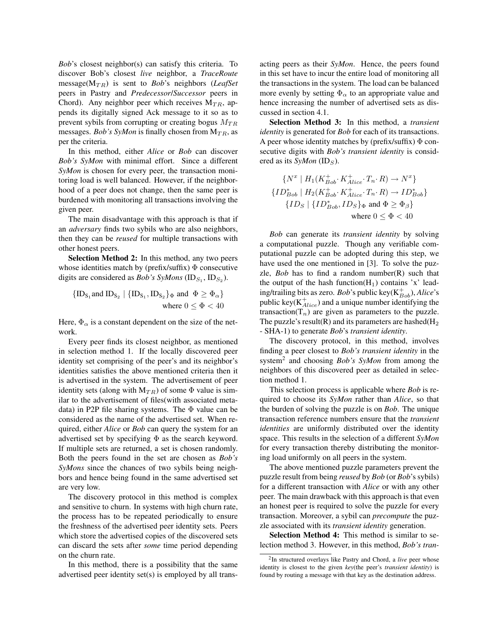*Bob*'s closest neighbor(s) can satisfy this criteria. To discover Bob's closest *live* neighbor, a *TraceRoute* message( $M_{TR}$ ) is sent to *Bob*'s neighbors (*LeafSet* peers in Pastry and *Predecessor*/*Successor* peers in Chord). Any neighbor peer which receives  $M_{TR}$ , appends its digitally signed Ack message to it so as to prevent sybils from corrupting or creating bogus  $M_{TR}$ messages. *Bob's SyMon* is finally chosen from  $M_{TR}$ , as per the criteria.

In this method, either *Alice* or *Bob* can discover *Bob's SyMon* with minimal effort. Since a different *SyMon* is chosen for every peer, the transaction monitoring load is well balanced. However, if the neighborhood of a peer does not change, then the same peer is burdened with monitoring all transactions involving the given peer.

The main disadvantage with this approach is that if an *adversary* finds two sybils who are also neighbors, then they can be *reused* for multiple transactions with other honest peers.

Selection Method 2: In this method, any two peers whose identities match by (prefix/suffix)  $\Phi$  consecutive digits are considered as *Bob's SyMons* ( $ID_{S_1}$ ,  $ID_{S_2}$ ).

$$
{\{ID_{S_1} \text{and } ID_{S_2} \mid \{ID_{S_1}, ID_{S_2}\}_{\Phi} \text{ and } \Phi \ge \Phi_{\alpha}\}}
$$
  
where  $0 \le \Phi < 40$ 

Here,  $\Phi_{\alpha}$  is a constant dependent on the size of the network.

Every peer finds its closest neighbor, as mentioned in selection method 1. If the locally discovered peer identity set comprising of the peer's and its neighbor's identities satisfies the above mentioned criteria then it is advertised in the system. The advertisement of peer identity sets (along with  $M_{TR}$ ) of some  $\Phi$  value is similar to the advertisement of files(with associated metadata) in P2P file sharing systems. The Φ value can be considered as the name of the advertised set. When required, either *Alice* or *Bob* can query the system for an advertised set by specifying  $\Phi$  as the search keyword. If multiple sets are returned, a set is chosen randomly. Both the peers found in the set are chosen as *Bob's SyMons* since the chances of two sybils being neighbors and hence being found in the same advertised set are very low.

The discovery protocol in this method is complex and sensitive to churn. In systems with high churn rate, the process has to be repeated periodically to ensure the freshness of the advertised peer identity sets. Peers which store the advertised copies of the discovered sets can discard the sets after *some* time period depending on the churn rate.

In this method, there is a possibility that the same advertised peer identity set(s) is employed by all trans-

acting peers as their *SyMon*. Hence, the peers found in this set have to incur the entire load of monitoring all the transactions in the system. The load can be balanced more evenly by setting  $\Phi_{\alpha}$  to an appropriate value and hence increasing the number of advertised sets as discussed in section 4.1.

Selection Method 3: In this method, a *transient identity* is generated for *Bob* for each of its transactions. A peer whose identity matches by (prefix/suffix)  $\Phi$  consecutive digits with *Bob's transient identity* is considered as its  $SyMon$  (ID<sub>S</sub>).

$$
\{N^x \mid H_1(K_{Bob}^+, K_{Alice}^+, T_n, R) \to N^x\}
$$
  

$$
\{ID_{Bob}^* \mid H_2(K_{Bob}^+, K_{Alice}^+, T_n, R) \to ID_{Bob}^*\}
$$
  

$$
\{ID_S \mid \{ID_{Bob}^*, ID_S\}_{\Phi} \text{ and } \Phi \ge \Phi_{\beta}\}
$$
  
where  $0 \le \Phi < 40$ 

*Bob* can generate its *transient identity* by solving a computational puzzle. Though any verifiable computational puzzle can be adopted during this step, we have used the one mentioned in [3]. To solve the puzzle,  $Bob$  has to find a random number $(R)$  such that the output of the hash function( $H_1$ ) contains 'x' leading/trailing bits as zero. *Bob*'s public key(K<sup>+</sup> Bob), *Alice*'s public key( $K^+_{Alice}$ ) and a unique number identifying the transaction( $T_n$ ) are given as parameters to the puzzle. The puzzle's result(R) and its parameters are hashed( $H_2$ ) - SHA-1) to generate *Bob*'s *transient identity*.

The discovery protocol, in this method, involves finding a peer closest to *Bob's transient identity* in the system<sup>2</sup> and choosing *Bob's SyMon* from among the neighbors of this discovered peer as detailed in selection method 1.

This selection process is applicable where *Bob* is required to choose its *SyMon* rather than *Alice*, so that the burden of solving the puzzle is on *Bob*. The unique transaction reference numbers ensure that the *transient identities* are uniformly distributed over the identity space. This results in the selection of a different *SyMon* for every transaction thereby distributing the monitoring load uniformly on all peers in the system.

The above mentioned puzzle parameters prevent the puzzle result from being *reused* by *Bob* (or *Bob*'s sybils) for a different transaction with *Alice* or with any other peer. The main drawback with this approach is that even an honest peer is required to solve the puzzle for every transaction. Moreover, a sybil can *precompute* the puzzle associated with its *transient identity* generation.

Selection Method 4: This method is similar to selection method 3. However, in this method, *Bob's tran-*

<sup>2</sup> In structured overlays like Pastry and Chord, a *live* peer whose identity is closest to the given *key*(the peer's *transient identity*) is found by routing a message with that key as the destination address.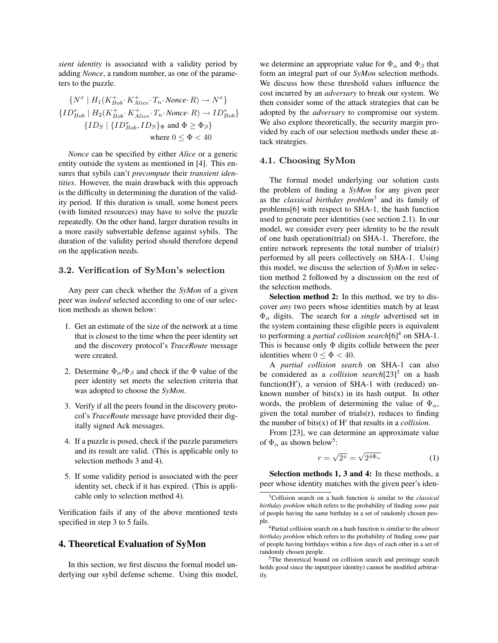*sient identity* is associated with a validity period by adding *Nonce*, a random number, as one of the parameters to the puzzle.

$$
\{N^x \mid H_1(K_{Bob}^+, K_{Alice}^+, T_n \cdot \text{Nonee} \cdot R) \to N^x\}
$$
  

$$
\{ID_{Bob}^* \mid H_2(K_{Bob}^+, K_{Alice}^+, T_n \cdot \text{Nonee} \cdot R) \to ID_{Bob}^*\}
$$
  

$$
\{ID_S \mid \{ID_{Bob}^*, ID_S\}_{\Phi} \text{ and } \Phi \ge \Phi_{\beta}\}
$$
  
where  $0 \le \Phi < 40$ 

*Nonce* can be specified by either *Alice* or a generic entity outside the system as mentioned in [4]. This ensures that sybils can't *precompute* their *transient identities*. However, the main drawback with this approach is the difficulty in determining the duration of the validity period. If this duration is small, some honest peers (with limited resources) may have to solve the puzzle repeatedly. On the other hand, larger duration results in a more easily subvertable defense against sybils. The duration of the validity period should therefore depend on the application needs.

#### 3.2. Verification of SyMon's selection

Any peer can check whether the *SyMon* of a given peer was *indeed* selected according to one of our selection methods as shown below:

- 1. Get an estimate of the size of the network at a time that is closest to the time when the peer identity set and the discovery protocol's *TraceRoute* message were created.
- 2. Determine  $\Phi_{\alpha}/\Phi_{\beta}$  and check if the  $\Phi$  value of the peer identity set meets the selection criteria that was adopted to choose the *SyMon*.
- 3. Verify if all the peers found in the discovery protocol's *TraceRoute* message have provided their digitally signed Ack messages.
- 4. If a puzzle is posed, check if the puzzle parameters and its result are valid. (This is applicable only to selection methods 3 and 4).
- 5. If some validity period is associated with the peer identity set, check if it has expired. (This is applicable only to selection method 4).

Verification fails if any of the above mentioned tests specified in step 3 to 5 fails.

#### 4. Theoretical Evaluation of SyMon

In this section, we first discuss the formal model underlying our sybil defense scheme. Using this model,

we determine an appropriate value for  $\Phi_{\alpha}$  and  $\Phi_{\beta}$  that form an integral part of our *SyMon* selection methods. We discuss how these threshold values influence the cost incurred by an *adversary* to break our system. We then consider some of the attack strategies that can be adopted by the *adversary* to compromise our system. We also explore theoretically, the security margin provided by each of our selection methods under these attack strategies.

### 4.1. Choosing SyMon

The formal model underlying our solution casts the problem of finding a *SyMon* for any given peer as the *classical birthday problem*<sup>3</sup> and its family of problems[6] with respect to SHA-1, the hash function used to generate peer identities (see section 2.1). In our model, we consider every peer identity to be the result of one hash operation(trial) on SHA-1. Therefore, the entire network represents the total number of trials(r) performed by all peers collectively on SHA-1. Using this model, we discuss the selection of *SyMon* in selection method 2 followed by a discussion on the rest of the selection methods.

Selection method 2: In this method, we try to discover *any* two peers whose identities match by at least Φ<sup>α</sup> digits. The search for a *single* advertised set in the system containing these eligible peers is equivalent to performing a *partial collision search*[6]<sup>4</sup> on SHA-1. This is because only  $\Phi$  digits collide between the peer identities where  $0 < \Phi < 40$ .

A *partial collision search* on SHA-1 can also be considered as a *collision search*[23]<sup>3</sup> on a hash  $function(H')$ , a version of SHA-1 with (reduced) unknown number of bits $(x)$  in its hash output. In other words, the problem of determining the value of  $\Phi_{\alpha}$ , given the total number of trials(r), reduces to finding the number of bits $(x)$  of  $H'$  that results in a *collision*.

From [23], we can determine an approximate value of  $\Phi_{\alpha}$  as shown below<sup>5</sup>:

$$
r = \sqrt{2^x} = \sqrt{2^{4\Phi_{\alpha}}}
$$
 (1)

Selection methods 1, 3 and 4: In these methods, a peer whose identity matches with the given peer's iden-

<sup>3</sup>Collision search on a hash function is similar to the *classical birthday problem* which refers to the probability of finding *some* pair of people having the same birthday in a set of randomly chosen people.

<sup>4</sup>Partial collision search on a hash function is similar to the *almost birthday problem* which refers to the probability of finding *some* pair of people having birthdays within a few days of each other in a set of randomly chosen people.

<sup>&</sup>lt;sup>5</sup>The theoretical bound on collision search and preimage search holds good since the input(peer identity) cannot be modified arbitrarily.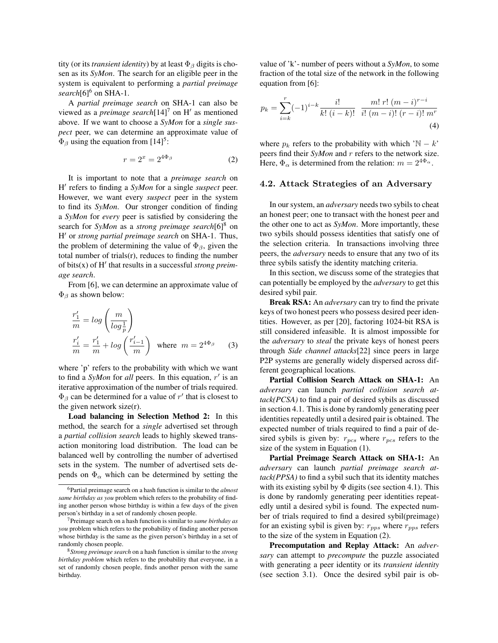tity (or its *transient identity*) by at least  $\Phi_{\beta}$  digits is chosen as its *SyMon*. The search for an eligible peer in the system is equivalent to performing a *partial preimage* search<sup>[6]6</sup> on SHA-1.

A *partial preimage search* on SHA-1 can also be viewed as a *preimage search* $[14]$ <sup>7</sup> on H' as mentioned above. If we want to choose a *SyMon* for a *single suspect* peer, we can determine an approximate value of  $\Phi_{\beta}$  using the equation from [14]<sup>5</sup>:

$$
r = 2^x = 2^{4\Phi_\beta} \tag{2}
$$

It is important to note that a *preimage search* on H' refers to finding a *SyMon* for a single *suspect* peer. However, we want every *suspect* peer in the system to find its *SyMon*. Our stronger condition of finding a *SyMon* for *every* peer is satisfied by considering the search for *SyMon* as a *strong preimage search*[6]<sup>8</sup> on H <sup>0</sup> or *strong partial preimage search* on SHA-1. Thus, the problem of determining the value of  $\Phi_{\beta}$ , given the total number of trials $(r)$ , reduces to finding the number of bits(x) of H<sup>'</sup> that results in a successful *strong preimage search*.

From [6], we can determine an approximate value of  $\Phi_{\beta}$  as shown below:

$$
\frac{r'_1}{m} = \log\left(\frac{m}{\log\frac{1}{p}}\right)
$$
\n
$$
\frac{r'_i}{m} = \frac{r'_1}{m} + \log\left(\frac{r'_{i-1}}{m}\right) \text{ where } m = 2^{4\Phi_\beta} \qquad (3)
$$

where 'p' refers to the probability with which we want to find a  $SyMon$  for *all* peers. In this equation,  $r'$  is an iterative approximation of the number of trials required.  $\Phi_{\beta}$  can be determined for a value of r' that is closest to the given network size $(r)$ .

Load balancing in Selection Method 2: In this method, the search for a *single* advertised set through a *partial collision search* leads to highly skewed transaction monitoring load distribution. The load can be balanced well by controlling the number of advertised sets in the system. The number of advertised sets depends on  $\Phi_{\alpha}$  which can be determined by setting the

value of 'k'- number of peers without a *SyMon*, to some fraction of the total size of the network in the following equation from [6]:

$$
p_k = \sum_{i=k}^{r} (-1)^{i-k} \frac{i!}{k! (i-k)!} \frac{m! \ r! \ (m-i)^{r-i}}{i! \ (m-i)! \ (r-i)! \ m^r}
$$
\n(4)

where  $p_k$  refers to the probability with which 'N − k' peers find their *SyMon* and r refers to the network size. Here,  $\Phi_{\alpha}$  is determined from the relation:  $m = 2^{4\Phi_{\alpha}}$ .

#### 4.2. Attack Strategies of an Adversary

In our system, an *adversary* needs two sybils to cheat an honest peer; one to transact with the honest peer and the other one to act as *SyMon*. More importantly, these two sybils should possess identities that satisfy one of the selection criteria. In transactions involving three peers, the *adversary* needs to ensure that any two of its three sybils satisfy the identity matching criteria.

In this section, we discuss some of the strategies that can potentially be employed by the *adversary* to get this desired sybil pair.

Break RSA: An *adversary* can try to find the private keys of two honest peers who possess desired peer identities. However, as per [20], factoring 1024-bit RSA is still considered infeasible. It is almost impossible for the *adversary* to *steal* the private keys of honest peers through *Side channel attacks*[22] since peers in large P2P systems are generally widely dispersed across different geographical locations.

Partial Collision Search Attack on SHA-1: An *adversary* can launch *partial collision search attack(PCSA)* to find a pair of desired sybils as discussed in section 4.1. This is done by randomly generating peer identities repeatedly until a desired pair is obtained. The expected number of trials required to find a pair of desired sybils is given by:  $r_{pcs}$  where  $r_{pcs}$  refers to the size of the system in Equation (1).

Partial Preimage Search Attack on SHA-1: An *adversary* can launch *partial preimage search attack(PPSA)* to find a sybil such that its identity matches with its existing sybil by  $\Phi$  digits (see section 4.1). This is done by randomly generating peer identities repeatedly until a desired sybil is found. The expected number of trials required to find a desired sybil(preimage) for an existing sybil is given by:  $r_{pps}$  where  $r_{pps}$  refers to the size of the system in Equation (2).

Precomputation and Replay Attack: An *adversary* can attempt to *precompute* the puzzle associated with generating a peer identity or its *transient identity* (see section 3.1). Once the desired sybil pair is ob-

<sup>6</sup>Partial preimage search on a hash function is similar to the *almost same birthday as you* problem which refers to the probability of finding another person whose birthday is within a few days of the given person's birthday in a set of randomly chosen people.

<sup>7</sup>Preimage search on a hash function is similar to *same birthday as you* problem which refers to the probability of finding another person whose birthday is the same as the given person's birthday in a set of randomly chosen people.

<sup>8</sup>*Strong preimage search* on a hash function is similar to the *strong birthday problem* which refers to the probability that everyone, in a set of randomly chosen people, finds another person with the same birthday.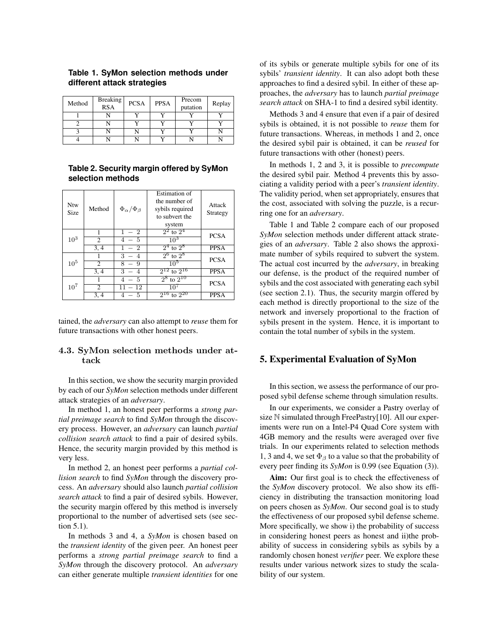| Method | <b>Breaking</b><br><b>RSA</b> | <b>PCSA</b> | <b>PPSA</b> | Precom<br>putation | Replay |
|--------|-------------------------------|-------------|-------------|--------------------|--------|
|        |                               |             |             |                    |        |
|        |                               |             |             |                    |        |
|        |                               |             |             |                    |        |
|        |                               |             |             |                    |        |

### **Table 1. SyMon selection methods under different attack strategies**

### **Table 2. Security margin offered by SyMon selection methods**

| <b>Ntw</b><br><b>Size</b> | Method | $\Phi_\alpha/\Phi_\beta$ | <b>Estimation</b> of<br>the number of<br>sybils required<br>to subvert the<br>system | Attack<br>Strategy |  |
|---------------------------|--------|--------------------------|--------------------------------------------------------------------------------------|--------------------|--|
| 10 <sup>3</sup>           |        | $1 - 2$                  | $2^2$ to $2^4$                                                                       | <b>PCSA</b>        |  |
|                           | 2      | $4 - 5$                  | $10^{3}$                                                                             |                    |  |
|                           | 3, 4   | $-2$                     | $2^4$ to $2^8$                                                                       | <b>PPSA</b>        |  |
| 10 <sup>5</sup>           |        | $3 - 4$                  | $2^6$ to $2^8$                                                                       | <b>PCSA</b>        |  |
|                           | 2      | $8 - 9$                  | $10^{5}$                                                                             |                    |  |
|                           | 3, 4   | 3<br>$\overline{4}$      | $2^{12}$ to $2^{16}$                                                                 | <b>PPSA</b>        |  |
| $10^{7}$                  |        | $-5$<br>4                | $2^8$ to $2^{10}$                                                                    | <b>PCSA</b>        |  |
|                           | 2      | $11 - 12$                | $10^{7}$                                                                             |                    |  |
|                           | 3, 4   | - 5<br>4                 | to $2^{20}$<br>216                                                                   | <b>PPSA</b>        |  |

tained, the *adversary* can also attempt to *reuse* them for future transactions with other honest peers.

### 4.3. SyMon selection methods under attack

In this section, we show the security margin provided by each of our *SyMon* selection methods under different attack strategies of an *adversary*.

In method 1, an honest peer performs a *strong partial preimage search* to find *SyMon* through the discovery process. However, an *adversary* can launch *partial collision search attack* to find a pair of desired sybils. Hence, the security margin provided by this method is very less.

In method 2, an honest peer performs a *partial collision search* to find *SyMon* through the discovery process. An *adversary* should also launch *partial collision search attack* to find a pair of desired sybils. However, the security margin offered by this method is inversely proportional to the number of advertised sets (see section 5.1).

In methods 3 and 4, a *SyMon* is chosen based on the *transient identity* of the given peer. An honest peer performs a *strong partial preimage search* to find a *SyMon* through the discovery protocol. An *adversary* can either generate multiple *transient identities* for one of its sybils or generate multiple sybils for one of its sybils' *transient identity*. It can also adopt both these approaches to find a desired sybil. In either of these approaches, the *adversary* has to launch *partial preimage search attack* on SHA-1 to find a desired sybil identity.

Methods 3 and 4 ensure that even if a pair of desired sybils is obtained, it is not possible to *reuse* them for future transactions. Whereas, in methods 1 and 2, once the desired sybil pair is obtained, it can be *reused* for future transactions with other (honest) peers.

In methods 1, 2 and 3, it is possible to *precompute* the desired sybil pair. Method 4 prevents this by associating a validity period with a peer's *transient identity*. The validity period, when set appropriately, ensures that the cost, associated with solving the puzzle, is a recurring one for an *adversary*.

Table 1 and Table 2 compare each of our proposed *SyMon* selection methods under different attack strategies of an *adversary*. Table 2 also shows the approximate number of sybils required to subvert the system. The actual cost incurred by the *adversary*, in breaking our defense, is the product of the required number of sybils and the cost associated with generating each sybil (see section 2.1). Thus, the security margin offered by each method is directly proportional to the size of the network and inversely proportional to the fraction of sybils present in the system. Hence, it is important to contain the total number of sybils in the system.

### 5. Experimental Evaluation of SyMon

In this section, we assess the performance of our proposed sybil defense scheme through simulation results.

In our experiments, we consider a Pastry overlay of size N simulated through FreePastry[10]. All our experiments were run on a Intel-P4 Quad Core system with 4GB memory and the results were averaged over five trials. In our experiments related to selection methods 1, 3 and 4, we set  $\Phi_\beta$  to a value so that the probability of every peer finding its *SyMon* is 0.99 (see Equation (3)).

Aim: Our first goal is to check the effectiveness of the *SyMon* discovery protocol. We also show its efficiency in distributing the transaction monitoring load on peers chosen as *SyMon*. Our second goal is to study the effectiveness of our proposed sybil defense scheme. More specifically, we show i) the probability of success in considering honest peers as honest and ii)the probability of success in considering sybils as sybils by a randomly chosen honest *verifier* peer. We explore these results under various network sizes to study the scalability of our system.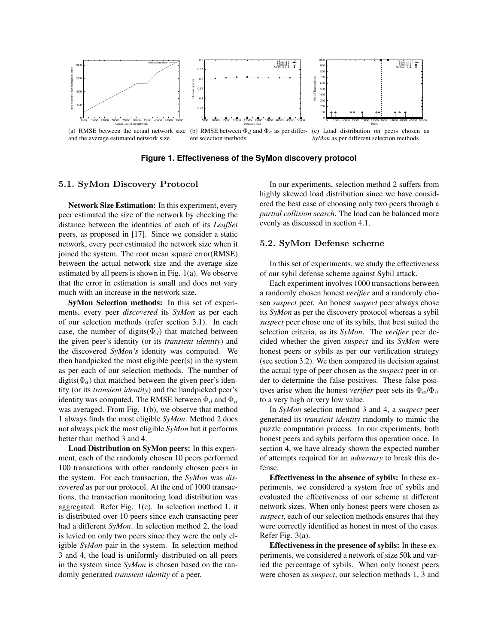

**Figure 1. Effectiveness of the SyMon discovery protocol**

#### 5.1. SyMon Discovery Protocol

Network Size Estimation: In this experiment, every peer estimated the size of the network by checking the distance between the identities of each of its *LeafSet* peers, as proposed in [17]. Since we consider a static network, every peer estimated the network size when it joined the system. The root mean square error(RMSE) between the actual network size and the average size estimated by all peers is shown in Fig. 1(a). We observe that the error in estimation is small and does not vary much with an increase in the network size.

SyMon Selection methods: In this set of experiments, every peer *discovered* its *SyMon* as per each of our selection methods (refer section 3.1). In each case, the number of digits( $\Phi_d$ ) that matched between the given peer's identity (or its *transient identity*) and the discovered *SyMon's* identity was computed. We then handpicked the most eligible peer(s) in the system as per each of our selection methods. The number of digits( $\Phi_a$ ) that matched between the given peer's identity (or its *transient identity*) and the handpicked peer's identity was computed. The RMSE between  $\Phi_d$  and  $\Phi_a$ was averaged. From Fig. 1(b), we observe that method 1 always finds the most eligible *SyMon*. Method 2 does not always pick the most eligible *SyMon* but it performs better than method 3 and 4.

Load Distribution on SyMon peers: In this experiment, each of the randomly chosen 10 peers performed 100 transactions with other randomly chosen peers in the system. For each transaction, the *SyMon* was *discovered* as per our protocol. At the end of 1000 transactions, the transaction monitoring load distribution was aggregated. Refer Fig. 1(c). In selection method 1, it is distributed over 10 peers since each transacting peer had a different *SyMon*. In selection method 2, the load is levied on only two peers since they were the only eligible *SyMon* pair in the system. In selection method 3 and 4, the load is uniformly distributed on all peers in the system since *SyMon* is chosen based on the randomly generated *transient identity* of a peer.

In our experiments, selection method 2 suffers from highly skewed load distribution since we have considered the best case of choosing only two peers through a *partial collision search*. The load can be balanced more evenly as discussed in section 4.1.

#### 5.2. SyMon Defense scheme

In this set of experiments, we study the effectiveness of our sybil defense scheme against Sybil attack.

Each experiment involves 1000 transactions between a randomly chosen honest *verifier* and a randomly chosen *suspect* peer. An honest *suspect* peer always chose its *SyMon* as per the discovery protocol whereas a sybil *suspect* peer chose one of its sybils, that best suited the selection criteria, as its *SyMon*. The *verifier* peer decided whether the given *suspect* and its *SyMon* were honest peers or sybils as per our verification strategy (see section 3.2). We then compared its decision against the actual type of peer chosen as the *suspect* peer in order to determine the false positives. These false positives arise when the honest *verifier* peer sets its  $\Phi_{\alpha}/\Phi_{\beta}$ to a very high or very low value.

In *SyMon* selection method 3 and 4, a *suspect* peer generated its *transient identity* randomly to mimic the puzzle computation process. In our experiments, both honest peers and sybils perform this operation once. In section 4, we have already shown the expected number of attempts required for an *adversary* to break this defense.

Effectiveness in the absence of sybils: In these experiments, we considered a system free of sybils and evaluated the effectiveness of our scheme at different network sizes. When only honest peers were chosen as *suspect*, each of our selection methods ensures that they were correctly identified as honest in most of the cases. Refer Fig. 3(a).

Effectiveness in the presence of sybils: In these experiments, we considered a network of size 50k and varied the percentage of sybils. When only honest peers were chosen as *suspect*, our selection methods 1, 3 and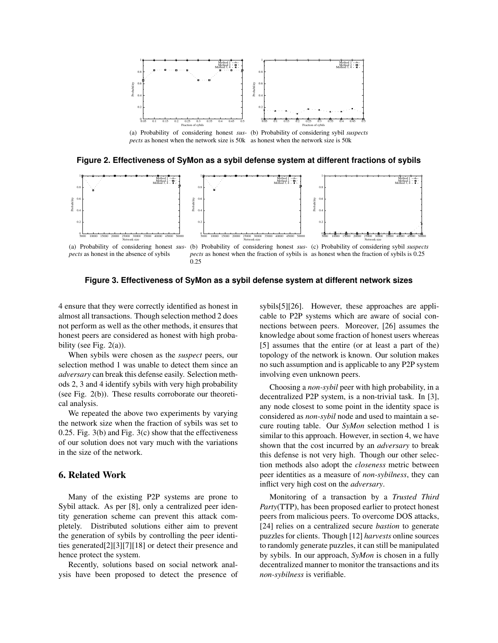

(a) Probability of considering honest *sus-*(b) Probability of considering sybil *suspects pects* as honest when the network size is 50k as honest when the network size is 50k





0.25

**Figure 3. Effectiveness of SyMon as a sybil defense system at different network sizes**

4 ensure that they were correctly identified as honest in almost all transactions. Though selection method 2 does not perform as well as the other methods, it ensures that honest peers are considered as honest with high probability (see Fig.  $2(a)$ ).

When sybils were chosen as the *suspect* peers, our selection method 1 was unable to detect them since an *adversary* can break this defense easily. Selection methods 2, 3 and 4 identify sybils with very high probability (see Fig. 2(b)). These results corroborate our theoretical analysis.

We repeated the above two experiments by varying the network size when the fraction of sybils was set to 0.25. Fig. 3(b) and Fig. 3(c) show that the effectiveness of our solution does not vary much with the variations in the size of the network.

# 6. Related Work

Many of the existing P2P systems are prone to Sybil attack. As per [8], only a centralized peer identity generation scheme can prevent this attack completely. Distributed solutions either aim to prevent the generation of sybils by controlling the peer identities generated[2][3][7][18] or detect their presence and hence protect the system.

Recently, solutions based on social network analysis have been proposed to detect the presence of sybils[5][26]. However, these approaches are applicable to P2P systems which are aware of social connections between peers. Moreover, [26] assumes the knowledge about some fraction of honest users whereas [5] assumes that the entire (or at least a part of the) topology of the network is known. Our solution makes no such assumption and is applicable to any P2P system involving even unknown peers.

Choosing a *non-sybil* peer with high probability, in a decentralized P2P system, is a non-trivial task. In [3], any node closest to some point in the identity space is considered as *non-sybil* node and used to maintain a secure routing table. Our *SyMon* selection method 1 is similar to this approach. However, in section 4, we have shown that the cost incurred by an *adversary* to break this defense is not very high. Though our other selection methods also adopt the *closeness* metric between peer identities as a measure of *non-sybilness*, they can inflict very high cost on the *adversary*.

Monitoring of a transaction by a *Trusted Third Party*(TTP), has been proposed earlier to protect honest peers from malicious peers. To overcome DOS attacks, [24] relies on a centralized secure *bastion* to generate puzzles for clients. Though [12] *harvests* online sources to randomly generate puzzles, it can still be manipulated by sybils. In our approach, *SyMon* is chosen in a fully decentralized manner to monitor the transactions and its *non-sybilness* is verifiable.